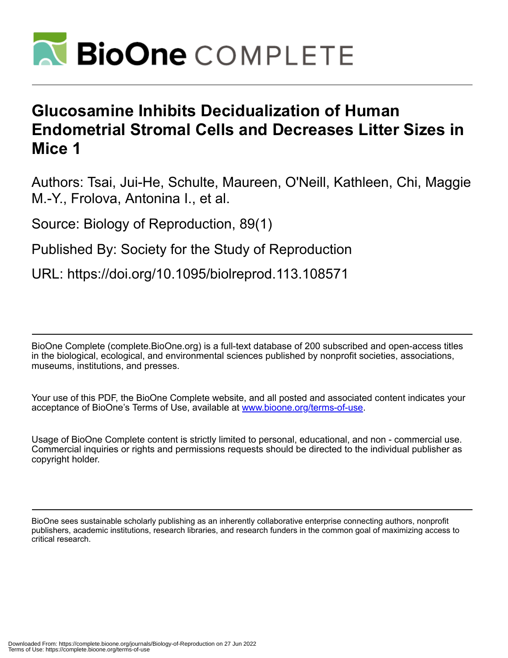

# **Glucosamine Inhibits Decidualization of Human Endometrial Stromal Cells and Decreases Litter Sizes in Mice 1**

Authors: Tsai, Jui-He, Schulte, Maureen, O'Neill, Kathleen, Chi, Maggie M.-Y., Frolova, Antonina I., et al.

Source: Biology of Reproduction, 89(1)

Published By: Society for the Study of Reproduction

URL: https://doi.org/10.1095/biolreprod.113.108571

BioOne Complete (complete.BioOne.org) is a full-text database of 200 subscribed and open-access titles in the biological, ecological, and environmental sciences published by nonprofit societies, associations, museums, institutions, and presses.

Your use of this PDF, the BioOne Complete website, and all posted and associated content indicates your acceptance of BioOne's Terms of Use, available at www.bioone.org/terms-of-use.

Usage of BioOne Complete content is strictly limited to personal, educational, and non - commercial use. Commercial inquiries or rights and permissions requests should be directed to the individual publisher as copyright holder.

BioOne sees sustainable scholarly publishing as an inherently collaborative enterprise connecting authors, nonprofit publishers, academic institutions, research libraries, and research funders in the common goal of maximizing access to critical research.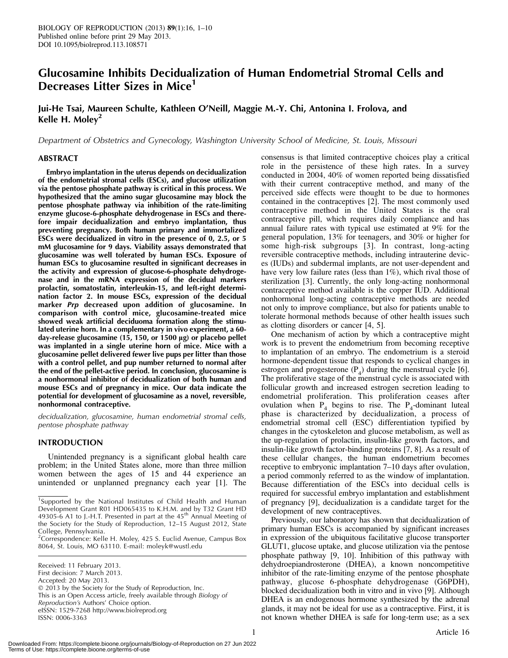# Glucosamine Inhibits Decidualization of Human Endometrial Stromal Cells and Decreases Litter Sizes in Mice'

# Jui-He Tsai, Maureen Schulte, Kathleen O'Neill, Maggie M.-Y. Chi, Antonina I. Frolova, and Kelle H. Moley<sup>2</sup>

Department of Obstetrics and Gynecology, Washington University School of Medicine, St. Louis, Missouri

## ABSTRACT

Embryo implantation in the uterus depends on decidualization of the endometrial stromal cells (ESCs), and glucose utilization via the pentose phosphate pathway is critical in this process. We hypothesized that the amino sugar glucosamine may block the pentose phosphate pathway via inhibition of the rate-limiting enzyme glucose-6-phosphate dehydrogenase in ESCs and therefore impair decidualization and embryo implantation, thus preventing pregnancy. Both human primary and immortalized ESCs were decidualized in vitro in the presence of 0, 2.5, or 5 mM glucosamine for 9 days. Viability assays demonstrated that glucosamine was well tolerated by human ESCs. Exposure of human ESCs to glucosamine resulted in significant decreases in the activity and expression of glucose-6-phosphate dehydrogenase and in the mRNA expression of the decidual markers prolactin, somatostatin, interleukin-15, and left-right determination factor 2. In mouse ESCs, expression of the decidual marker Prp decreased upon addition of glucosamine. In comparison with control mice, glucosamine-treated mice showed weak artificial deciduoma formation along the stimulated uterine horn. In a complementary in vivo experiment, a 60 day-release glucosamine (15, 150, or 1500 µg) or placebo pellet was implanted in a single uterine horn of mice. Mice with a glucosamine pellet delivered fewer live pups per litter than those with a control pellet, and pup number returned to normal after the end of the pellet-active period. In conclusion, glucosamine is a nonhormonal inhibitor of decidualization of both human and mouse ESCs and of pregnancy in mice. Our data indicate the potential for development of glucosamine as a novel, reversible, nonhormonal contraceptive.

decidualization, glucosamine, human endometrial stromal cells, pentose phosphate pathway

# INTRODUCTION

Unintended pregnancy is a significant global health care problem; in the United States alone, more than three million women between the ages of 15 and 44 experience an unintended or unplanned pregnancy each year [1]. The

Received: 11 February 2013. First decision: 7 March 2013. Accepted: 20 May 2013. - 2013 by the Society for the Study of Reproduction, Inc. This is an Open Access article, freely available through Biology of Reproduction's Authors' Choice option. eISSN: 1529-7268 http://www.biolreprod.org ISSN: 0006-3363

consensus is that limited contraceptive choices play a critical role in the persistence of these high rates. In a survey conducted in 2004, 40% of women reported being dissatisfied with their current contraceptive method, and many of the perceived side effects were thought to be due to hormones contained in the contraceptives [2]. The most commonly used contraceptive method in the United States is the oral contraceptive pill, which requires daily compliance and has annual failure rates with typical use estimated at 9% for the general population, 13% for teenagers, and 30% or higher for some high-risk subgroups [3]. In contrast, long-acting reversible contraceptive methods, including intrauterine devices (IUDs) and subdermal implants, are not user-dependent and have very low failure rates (less than 1%), which rival those of sterilization [3]. Currently, the only long-acting nonhormonal contraceptive method available is the copper IUD. Additional nonhormonal long-acting contraceptive methods are needed not only to improve compliance, but also for patients unable to tolerate hormonal methods because of other health issues such as clotting disorders or cancer [4, 5].

One mechanism of action by which a contraceptive might work is to prevent the endometrium from becoming receptive to implantation of an embryo. The endometrium is a steroid hormone-dependent tissue that responds to cyclical changes in estrogen and progesterone  $(P_4)$  during the menstrual cycle [6]. The proliferative stage of the menstrual cycle is associated with follicular growth and increased estrogen secretion leading to endometrial proliferation. This proliferation ceases after ovulation when  $P_4$  begins to rise. The  $P_4$ -dominant luteal phase is characterized by decidualization, a process of endometrial stromal cell (ESC) differentiation typified by changes in the cytoskeleton and glucose metabolism, as well as the up-regulation of prolactin, insulin-like growth factors, and insulin-like growth factor-binding proteins [7, 8]. As a result of these cellular changes, the human endometrium becomes receptive to embryonic implantation 7–10 days after ovulation, a period commonly referred to as the window of implantation. Because differentiation of the ESCs into decidual cells is required for successful embryo implantation and establishment of pregnancy [9], decidualization is a candidate target for the development of new contraceptives.

Previously, our laboratory has shown that decidualization of primary human ESCs is accompanied by significant increases in expression of the ubiquitous facilitative glucose transporter GLUT1, glucose uptake, and glucose utilization via the pentose phosphate pathway [9, 10]. Inhibition of this pathway with dehydroepiandrosterone (DHEA), a known noncompetitive inhibitor of the rate-limiting enzyme of the pentose phosphate pathway, glucose 6-phosphate dehydrogenase (G6PDH), blocked decidualization both in vitro and in vivo [9]. Although DHEA is an endogenous hormone synthesized by the adrenal glands, it may not be ideal for use as a contraceptive. First, it is not known whether DHEA is safe for long-term use; as a sex

<sup>&</sup>lt;sup>1</sup>Supported by the National Institutes of Child Health and Human Development Grant R01 HD065435 to K.H.M. and by T32 Grant HD 49305-6 A1 to J.-H.T. Presented in part at the 45<sup>th</sup> Annual Meeting of the Society for the Study of Reproduction, 12–15 August 2012, State College, Pennsylvania.

<sup>2</sup> Correspondence: Kelle H. Moley, 425 S. Euclid Avenue, Campus Box 8064, St. Louis, MO 63110. E-mail: moleyk@wustl.edu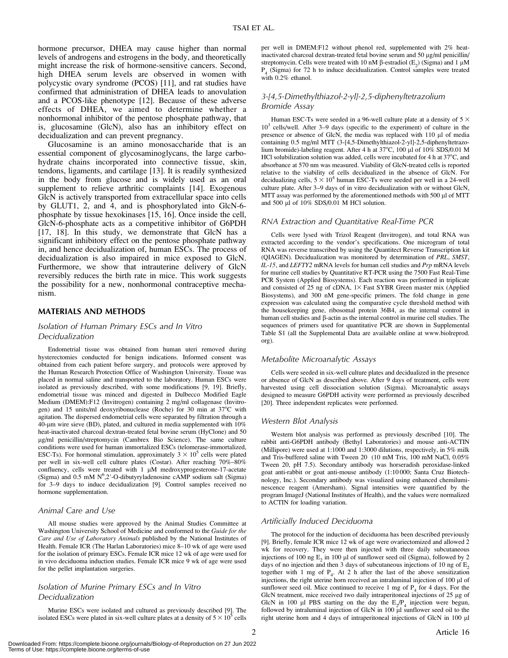hormone precursor, DHEA may cause higher than normal levels of androgens and estrogens in the body, and theoretically might increase the risk of hormone-sensitive cancers. Second, high DHEA serum levels are observed in women with polycystic ovary syndrome (PCOS) [11], and rat studies have confirmed that administration of DHEA leads to anovulation and a PCOS-like phenotype [12]. Because of these adverse effects of DHEA, we aimed to determine whether a nonhormonal inhibitor of the pentose phosphate pathway, that is, glucosamine (GlcN), also has an inhibitory effect on decidualization and can prevent pregnancy.

Glucosamine is an amino monosaccharide that is an essential component of glycosaminoglycans, the large carbohydrate chains incorporated into connective tissue, skin, tendons, ligaments, and cartilage [13]. It is readily synthesized in the body from glucose and is widely used as an oral supplement to relieve arthritic complaints [14]. Exogenous GlcN is actively transported from extracellular space into cells by GLUT1, 2, and 4, and is phosphorylated into GlcN-6 phosphate by tissue hexokinases [15, 16]. Once inside the cell, GlcN-6-phosphate acts as a competitive inhibitor of G6PDH [17, 18]. In this study, we demonstrate that GlcN has a significant inhibitory effect on the pentose phosphate pathway in, and hence decidualization of, human ESCs. The process of decidualization is also impaired in mice exposed to GlcN. Furthermore, we show that intrauterine delivery of GlcN reversibly reduces the birth rate in mice. This work suggests the possibility for a new, nonhormonal contraceptive mechanism.

#### MATERIALS AND METHODS

# Isolation of Human Primary ESCs and In Vitro Decidualization

Endometrial tissue was obtained from human uteri removed during hysterectomies conducted for benign indications. Informed consent was obtained from each patient before surgery, and protocols were approved by the Human Research Protection Office of Washington University. Tissue was placed in normal saline and transported to the laboratory. Human ESCs were isolated as previously described, with some modifications [9, 19]. Briefly, endometrial tissue was minced and digested in Dulbecco Modified Eagle Medium (DMEM):F12 (Invitrogen) containing 2 mg/ml collagenase (Invitrogen) and 15 units/ml deoxyribonuclease (Roche) for 30 min at 37°C with agitation. The dispersed endometrial cells were separated by filtration through a 40-lm wire sieve (BD), plated, and cultured in media supplemented with 10% heat-inactivated charcoal dextran-treated fetal bovine serum (HyClone) and 50 lg/ml penicillin/streptomycin (Cambrex Bio Science). The same culture conditions were used for human immortalized ESCs (telomerase-immortalized, ESC-Ts). For hormonal stimulation, approximately  $3 \times 10^5$  cells were plated per well in six-well cell culture plates (Costar). After reaching 70%–80% confluency, cells were treated with 1  $\mu$ M medroxyprogesterone-17-acetate (Sigma) and 0.5 mM  $N^6$ ,2'-O-dibutyryladenosine cAMP sodium salt (Sigma) for 3–9 days to induce decidualization [9]. Control samples received no hormone supplementation.

#### Animal Care and Use

All mouse studies were approved by the Animal Studies Committee at Washington University School of Medicine and conformed to the Guide for the Care and Use of Laboratory Animals published by the National Institutes of Health. Female ICR (The Harlan Laboratories) mice 8–10 wk of age were used for the isolation of primary ESCs. Female ICR mice 12 wk of age were used for in vivo deciduoma induction studies. Female ICR mice 9 wk of age were used for the pellet implantation surgeries.

# Isolation of Murine Primary ESCs and In Vitro Decidualization

Murine ESCs were isolated and cultured as previously described [9]. The isolated ESCs were plated in six-well culture plates at a density of  $5 \times 10^5$  cells per well in DMEM:F12 without phenol red, supplemented with 2% heatinactivated charcoal dextran-treated fetal bovine serum and 50  $\mu$ g/ml penicillin/ streptomycin. Cells were treated with 10 nM  $\beta$ -estradiol (E<sub>2</sub>) (Sigma) and 1 µM P4 (Sigma) for 72 h to induce decidualization. Control samples were treated with 0.2% ethanol.

# 3-[4,5-Dimethylthiazol-2-yl]-2,5-diphenyltetrazolium Bromide Assay

Human ESC-Ts were seeded in a 96-well culture plate at a density of  $5 \times$  $10<sup>3</sup>$  cells/well. After 3–9 days (specific to the experiment) of culture in the presence or absence of GlcN, the media was replaced with 110 µl of media containing 0.5 mg/ml MTT (3-[4,5-Dimethylthiazol-2-yl]-2,5-diphenyltetrazolium bromide)-labeling reagent. After 4 h at 37°C, 100 µl of 10% SDS/0.01 M HCl solubilization solution was added, cells were incubated for 4 h at  $37^{\circ}$ C, and absorbance at 570 nm was measured. Viability of GlcN-treated cells is reported relative to the viability of cells decidualized in the absence of GlcN. For decidualizing cells,  $5 \times 10^4$  human ESC-Ts were seeded per well in a 24-well culture plate. After 3–9 days of in vitro decidualization with or without GlcN, MTT assay was performed by the aforementioned methods with 500 µl of MTT and  $500 \mu l$  of  $10\%$  SDS/0.01 M HCl solution.

#### RNA Extraction and Quantitative Real-Time PCR

Cells were lysed with Trizol Reagent (Invitrogen), and total RNA was extracted according to the vendor's specifications. One microgram of total RNA was reverse transcribed by using the Quantitect Reverse Transcription kit (QIAGEN). Decidualization was monitored by determination of PRL, SMST, IL-15, and LEFTY2 mRNA levels for human cell studies and Prp mRNA levels for murine cell studies by Quantitative RT-PCR using the 7500 Fast Real-Time PCR System (Applied Biosystems). Each reaction was performed in triplicate and consisted of 25 ng of cDNA,  $1\times$  Fast SYBR Green master mix (Applied Biosystems), and 300 nM gene-specific primers. The fold change in gene expression was calculated using the comparative cycle threshold method with the housekeeping gene, ribosomal protein 36B4, as the internal control in human cell studies and  $\beta$ -actin as the internal control in murine cell studies. The sequences of primers used for quantitative PCR are shown in Supplemental Table S1 (all the Supplemental Data are available online at www.biolreprod. org).

#### Metabolite Microanalytic Assays

Cells were seeded in six-well culture plates and decidualized in the presence or absence of GlcN as described above. After 9 days of treatment, cells were harvested using cell dissociation solution (Sigma). Microanalytic assays designed to measure G6PDH activity were performed as previously described [20]. Three independent replicates were performed.

#### Western Blot Analysis

Western blot analysis was performed as previously described [10]. The rabbit anti-G6PDH antibody (Bethyl Laboratories) and mouse anti-ACTIN (Millipore) were used at 1:1000 and 1:3000 dilutions, respectively, in 5% milk and Tris-buffered saline with Tween 20 (10 mM Tris, 100 mM NaCl, 0.05% Tween 20, pH 7.5). Secondary antibody was horseradish peroxidase-linked goat anti-rabbit or goat anti-mouse antibody (1:10 000; Santa Cruz Biotechnology, Inc.). Secondary antibody was visualized using enhanced chemiluminescence reagent (Amersham). Signal intensities were quantified by the program ImageJ (National Institutes of Health), and the values were normalized to ACTIN for loading variation.

# Artificially Induced Deciduoma

The protocol for the induction of deciduoma has been described previously [9]. Briefly, female ICR mice 12 wk of age were ovariectomized and allowed 2 wk for recovery. They were then injected with three daily subcutaneous injections of 100 ng  $E_2$  in 100 µl of sunflower seed oil (Sigma), followed by 2 days of no injection and then 3 days of subcutaneous injections of 10 ng of  $E<sub>2</sub>$ together with 1 mg of  $P_4$ . At 2 h after the last of the above sensitization injections, the right uterine horn received an intraluminal injection of  $100 \mu l$  of sunflower seed oil. Mice continued to receive 1 mg of  $P<sub>4</sub>$  for 4 days. For the GlcN treatment, mice received two daily intraperitoneal injections of 25 µg of GlcN in 100 µl PBS starting on the day the  $E_2/P_4$  injection were begun, followed by intraluminal injection of GlcN in  $100 \mu$  sunflower seed oil to the right uterine horn and 4 days of intraperitoneal injections of GlcN in 100 µl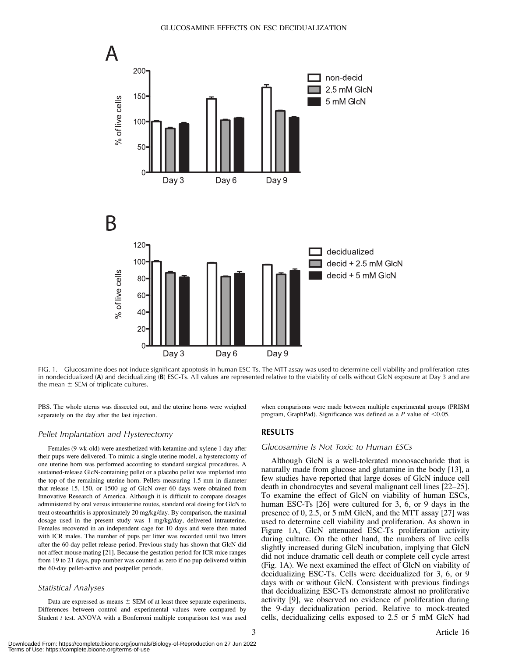

FIG. 1. Glucosamine does not induce significant apoptosis in human ESC-Ts. The MTT assay was used to determine cell viability and proliferation rates in nondecidualized (A) and decidualizing (B) ESC-Ts. All values are represented relative to the viability of cells without GlcN exposure at Day 3 and are the mean  $\pm$  SEM of triplicate cultures.

PBS. The whole uterus was dissected out, and the uterine horns were weighed separately on the day after the last injection.

#### Pellet Implantation and Hysterectomy

Females (9-wk-old) were anesthetized with ketamine and xylene 1 day after their pups were delivered. To mimic a single uterine model, a hysterectomy of one uterine horn was performed according to standard surgical procedures. A sustained-release GlcN-containing pellet or a placebo pellet was implanted into the top of the remaining uterine horn. Pellets measuring 1.5 mm in diameter that release 15, 150, or 1500 µg of GlcN over 60 days were obtained from Innovative Research of America. Although it is difficult to compare dosages administered by oral versus intrauterine routes, standard oral dosing for GlcN to treat osteoarthritis is approximately 20 mg/kg/day. By comparison, the maximal dosage used in the present study was 1 mg/kg/day, delivered intrauterine. Females recovered in an independent cage for 10 days and were then mated with ICR males. The number of pups per litter was recorded until two litters after the 60-day pellet release period. Previous study has shown that GlcN did not affect mouse mating [21]. Because the gestation period for ICR mice ranges from 19 to 21 days, pup number was counted as zero if no pup delivered within the 60-day pellet-active and postpellet periods.

#### Statistical Analyses

Data are expressed as means  $\pm$  SEM of at least three separate experiments. Differences between control and experimental values were compared by Student t test. ANOVA with a Bonferroni multiple comparison test was used when comparisons were made between multiple experimental groups (PRISM program, GraphPad). Significance was defined as a  $P$  value of <0.05.

#### RESULTS

#### Glucosamine Is Not Toxic to Human ESCs

Although GlcN is a well-tolerated monosaccharide that is naturally made from glucose and glutamine in the body [13], a few studies have reported that large doses of GlcN induce cell death in chondrocytes and several malignant cell lines [22–25]. To examine the effect of GlcN on viability of human ESCs, human ESC-Ts [26] were cultured for 3, 6, or 9 days in the presence of 0, 2.5, or 5 mM GlcN, and the MTT assay [27] was used to determine cell viability and proliferation. As shown in Figure 1A, GlcN attenuated ESC-Ts proliferation activity during culture. On the other hand, the numbers of live cells slightly increased during GlcN incubation, implying that GlcN did not induce dramatic cell death or complete cell cycle arrest (Fig. 1A). We next examined the effect of GlcN on viability of decidualizing ESC-Ts. Cells were decidualized for 3, 6, or 9 days with or without GlcN. Consistent with previous findings that decidualizing ESC-Ts demonstrate almost no proliferative activity [9], we observed no evidence of proliferation during the 9-day decidualization period. Relative to mock-treated cells, decidualizing cells exposed to 2.5 or 5 mM GlcN had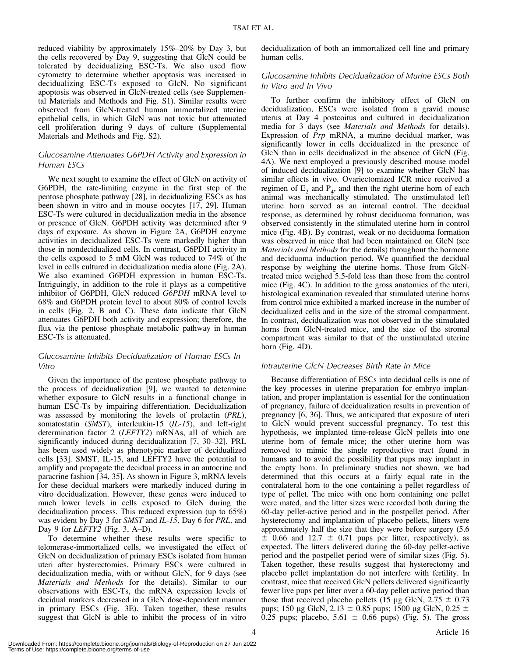reduced viability by approximately 15%–20% by Day 3, but the cells recovered by Day 9, suggesting that GlcN could be tolerated by decidualizing ESC-Ts. We also used flow cytometry to determine whether apoptosis was increased in decidualizing ESC-Ts exposed to GlcN. No significant apoptosis was observed in GlcN-treated cells (see Supplemental Materials and Methods and Fig. S1). Similar results were observed from GlcN-treated human immortalized uterine epithelial cells, in which GlcN was not toxic but attenuated cell proliferation during 9 days of culture (Supplemental Materials and Methods and Fig. S2).

# Glucosamine Attenuates G6PDH Activity and Expression in Human ESCs

We next sought to examine the effect of GlcN on activity of G6PDH, the rate-limiting enzyme in the first step of the pentose phosphate pathway [28], in decidualizing ESCs as has been shown in vitro and in mouse oocytes [17, 29]. Human ESC-Ts were cultured in decidualization media in the absence or presence of GlcN. G6PDH activity was determined after 9 days of exposure. As shown in Figure 2A, G6PDH enzyme activities in decidualized ESC-Ts were markedly higher than those in nondecidualized cells. In contrast, G6PDH activity in the cells exposed to 5 mM GlcN was reduced to 74% of the level in cells cultured in decidualization media alone (Fig. 2A). We also examined G6PDH expression in human ESC-Ts. Intriguingly, in addition to the role it plays as a competitive inhibitor of G6PDH, GlcN reduced G6PDH mRNA level to 68% and G6PDH protein level to about 80% of control levels in cells (Fig. 2, B and C). These data indicate that GlcN attenuates G6PDH both activity and expression; therefore, the flux via the pentose phosphate metabolic pathway in human ESC-Ts is attenuated.

# Glucosamine Inhibits Decidualization of Human ESCs In Vitro

Given the importance of the pentose phosphate pathway to the process of decidualization [9], we wanted to determine whether exposure to GlcN results in a functional change in human ESC-Ts by impairing differentiation. Decidualization was assessed by monitoring the levels of prolactin (PRL), somatostatin (SMST), interleukin-15 (IL-15), and left-right determination factor 2 (LEFTY2) mRNAs, all of which are significantly induced during decidualization [7, 30–32]. PRL has been used widely as phenotypic marker of decidualized cells [33]. SMST, IL-15, and LEFTY2 have the potential to amplify and propagate the decidual process in an autocrine and paracrine fashion [34, 35]. As shown in Figure 3, mRNA levels for these decidual markers were markedly induced during in vitro decidualization. However, these genes were induced to much lower levels in cells exposed to GlcN during the decidualization process. This reduced expression (up to 65%) was evident by Day 3 for SMST and IL-15, Day 6 for PRL, and Day 9 for  $LEFTY2$  (Fig. 3, A–D).

To determine whether these results were specific to telomerase-immortalized cells, we investigated the effect of GlcN on decidualization of primary ESCs isolated from human uteri after hysterectomies. Primary ESCs were cultured in decidualization media, with or without GlcN, for 9 days (see Materials and Methods for the details). Similar to our observations with ESC-Ts, the mRNA expression levels of decidual markers decreased in a GlcN dose-dependent manner in primary ESCs (Fig. 3E). Taken together, these results suggest that GlcN is able to inhibit the process of in vitro

decidualization of both an immortalized cell line and primary human cells.

# Glucosamine Inhibits Decidualization of Murine ESCs Both In Vitro and In Vivo

To further confirm the inhibitory effect of GlcN on decidualization, ESCs were isolated from a gravid mouse uterus at Day 4 postcoitus and cultured in decidualization media for 3 days (see Materials and Methods for details). Expression of Prp mRNA, a murine decidual marker, was significantly lower in cells decidualized in the presence of GlcN than in cells decidualized in the absence of GlcN (Fig. 4A). We next employed a previously described mouse model of induced decidualization [9] to examine whether GlcN has similar effects in vivo. Ovariectomized ICR mice received a regimen of  $E_2$  and  $P_4$ , and then the right uterine horn of each animal was mechanically stimulated. The unstimulated left uterine horn served as an internal control. The decidual response, as determined by robust deciduoma formation, was observed consistently in the stimulated uterine horn in control mice (Fig. 4B). By contrast, weak or no deciduoma formation was observed in mice that had been maintained on GlcN (see Materials and Methods for the details) throughout the hormone and deciduoma induction period. We quantified the decidual response by weighing the uterine horns. Those from GlcNtreated mice weighed 5.5-fold less than those from the control mice (Fig. 4C). In addition to the gross anatomies of the uteri, histological examination revealed that stimulated uterine horns from control mice exhibited a marked increase in the number of decidualized cells and in the size of the stromal compartment. In contrast, decidualization was not observed in the stimulated horns from GlcN-treated mice, and the size of the stromal compartment was similar to that of the unstimulated uterine horn (Fig. 4D).

# Intrauterine GlcN Decreases Birth Rate in Mice

Because differentiation of ESCs into decidual cells is one of the key processes in uterine preparation for embryo implantation, and proper implantation is essential for the continuation of pregnancy, failure of decidualization results in prevention of pregnancy [6, 36]. Thus, we anticipated that exposure of uteri to GlcN would prevent successful pregnancy. To test this hypothesis, we implanted time-release GlcN pellets into one uterine horn of female mice; the other uterine horn was removed to mimic the single reproductive tract found in humans and to avoid the possibility that pups may implant in the empty horn. In preliminary studies not shown, we had determined that this occurs at a fairly equal rate in the contralateral horn to the one containing a pellet regardless of type of pellet. The mice with one horn containing one pellet were mated, and the litter sizes were recorded both during the 60-day pellet-active period and in the postpellet period. After hysterectomy and implantation of placebo pellets, litters were approximately half the size that they were before surgery (5.6  $\pm$  0.66 and 12.7  $\pm$  0.71 pups per litter, respectively), as expected. The litters delivered during the 60-day pellet-active period and the postpellet period were of similar sizes (Fig. 5). Taken together, these results suggest that hysterectomy and placebo pellet implantation do not interfere with fertility. In contrast, mice that received GlcN pellets delivered significantly fewer live pups per litter over a 60-day pellet active period than those that received placebo pellets (15 µg GlcN,  $2.75 \pm 0.73$ pups; 150 µg GlcN, 2.13  $\pm$  0.85 pups; 1500 µg GlcN, 0.25  $\pm$ 0.25 pups; placebo,  $5.61 \pm 0.66$  pups) (Fig. 5). The gross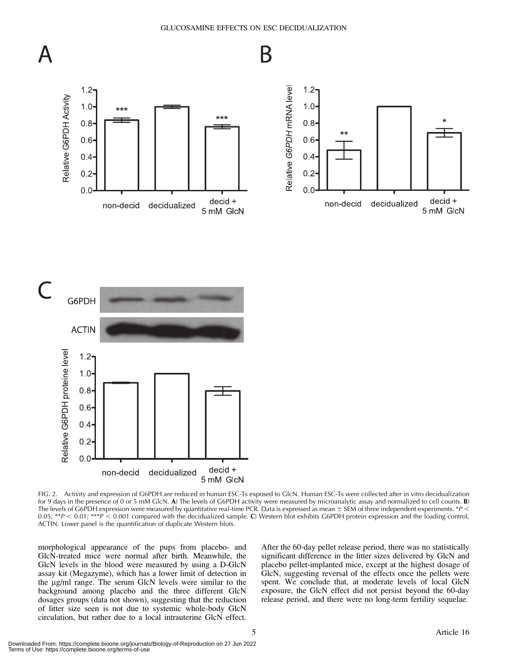

GLUCOSAMINE EFFECTS ON ESC DECIDUALIZATION



FIG. 2. Activity and expression of G6PDH are reduced in human ESC-Ts exposed to GlcN. Human ESC-Ts were collected after in vitro decidualization for 9 days in the presence of 0 or 5 mM GlcN. A) The levels of G6PDH activity were measured by microanalytic assay and normalized to cell counts. **B**) The levels of G6PDH expression were measured by quantitative real-time PCR. Data is expressed as mean  $\pm$  SEM of three independent experiments. \*P < 0.05;  $^{*p}$  < 0.01;  $^{***p}$  < 0.001 compared with the decidualized sample. C) Western blot exhibits G6PDH protein expression and the loading control, ACTIN. Lower panel is the quantification of duplicate Western blots.

morphological appearance of the pups from placebo- and GlcN-treated mice were normal after birth. Meanwhile, the GlcN levels in the blood were measured by using a D-GlcN assay kit (Megazyme), which has a lower limit of detection in the  $\mu$ g/ml range. The serum GlcN levels were similar to the background among placebo and the three different GlcN dosages groups (data not shown), suggesting that the reduction of litter size seen is not due to systemic whole-body GlcN circulation, but rather due to a local intrauterine GlcN effect. After the 60-day pellet release period, there was no statistically significant difference in the litter sizes delivered by GlcN and placebo pellet-implanted mice, except at the highest dosage of GlcN, suggesting reversal of the effects once the pellets were spent. We conclude that, at moderate levels of local GlcN exposure, the GlcN effect did not persist beyond the 60-day release period, and there were no long-term fertility sequelae.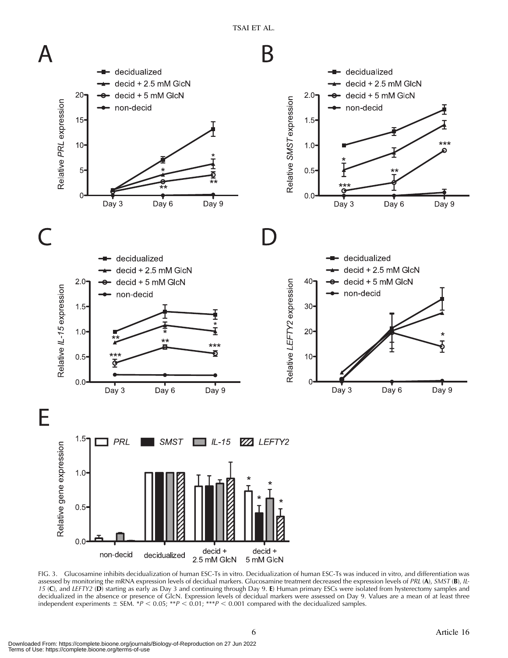TSAI ET AL.



FIG. 3. Glucosamine inhibits decidualization of human ESC-Ts in vitro. Decidualization of human ESC-Ts was induced in vitro, and differentiation was assessed by monitoring the mRNA expression levels of decidual markers. Glucosamine treatment decreased the expression levels of PRL (A), SMST (B), IL-15 (C), and LEFTY2 (D) starting as early as Day 3 and continuing through Day 9. E) Human primary ESCs were isolated from hysterectomy samples and decidualized in the absence or presence of GlcN. Expression levels of decidual markers were assessed on Day 9. Values are a mean of at least three independent experiments  $\pm$  SEM. \*P < 0.05; \*\*P < 0.01; \*\*\*P < 0.001 compared with the decidualized samples.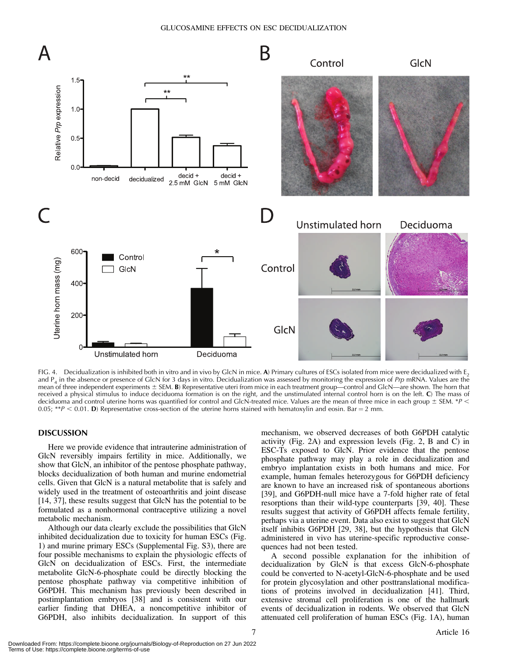#### GLUCOSAMINE EFFECTS ON ESC DECIDUALIZATION



FIG. 4. Decidualization is inhibited both in vitro and in vivo by GlcN in mice. A) Primary cultures of ESCs isolated from mice were decidualized with  $E_2$ and P<sub>4</sub> in the absence or presence of GlcN for 3 days in vitro. Decidualization was assessed by monitoring the expression of Prp mRNA. Values are the mean of three independent experiments  $\pm$  SEM. B) Representative uteri from mice in each treatment group—control and GlcN—are shown. The horn that received a physical stimulus to induce deciduoma formation is on the right, and the unstimulated internal control horn is on the left. C) The mass of deciduoma and control uterine horns was quantified for control and GlcN-treated mice. Values are the mean of three mice in each group  $\pm$  SEM. \*P < 0.05; \*\*P < 0.01. D) Representative cross-section of the uterine horns stained with hematoxylin and eosin. Bar = 2 mm.

#### DISCUSSION

Here we provide evidence that intrauterine administration of GlcN reversibly impairs fertility in mice. Additionally, we show that GlcN, an inhibitor of the pentose phosphate pathway, blocks decidualization of both human and murine endometrial cells. Given that GlcN is a natural metabolite that is safely and widely used in the treatment of osteoarthritis and joint disease [14, 37], these results suggest that GlcN has the potential to be formulated as a nonhormonal contraceptive utilizing a novel metabolic mechanism.

Although our data clearly exclude the possibilities that GlcN inhibited decidualization due to toxicity for human ESCs (Fig. 1) and murine primary ESCs (Supplemental Fig. S3), there are four possible mechanisms to explain the physiologic effects of GlcN on decidualization of ESCs. First, the intermediate metabolite GlcN-6-phosphate could be directly blocking the pentose phosphate pathway via competitive inhibition of G6PDH. This mechanism has previously been described in postimplantation embryos [38] and is consistent with our earlier finding that DHEA, a noncompetitive inhibitor of G6PDH, also inhibits decidualization. In support of this

mechanism, we observed decreases of both G6PDH catalytic activity (Fig. 2A) and expression levels (Fig. 2, B and C) in ESC-Ts exposed to GlcN. Prior evidence that the pentose phosphate pathway may play a role in decidualization and embryo implantation exists in both humans and mice. For example, human females heterozygous for G6PDH deficiency are known to have an increased risk of spontaneous abortions [39], and G6PDH-null mice have a 7-fold higher rate of fetal resorptions than their wild-type counterparts [39, 40]. These results suggest that activity of G6PDH affects female fertility, perhaps via a uterine event. Data also exist to suggest that GlcN itself inhibits G6PDH [29, 38], but the hypothesis that GlcN administered in vivo has uterine-specific reproductive consequences had not been tested.

A second possible explanation for the inhibition of decidualization by GlcN is that excess GlcN-6-phosphate could be converted to N-acetyl-GlcN-6-phosphate and be used for protein glycosylation and other posttranslational modifications of proteins involved in decidualization [41]. Third, extensive stromal cell proliferation is one of the hallmark events of decidualization in rodents. We observed that GlcN attenuated cell proliferation of human ESCs (Fig. 1A), human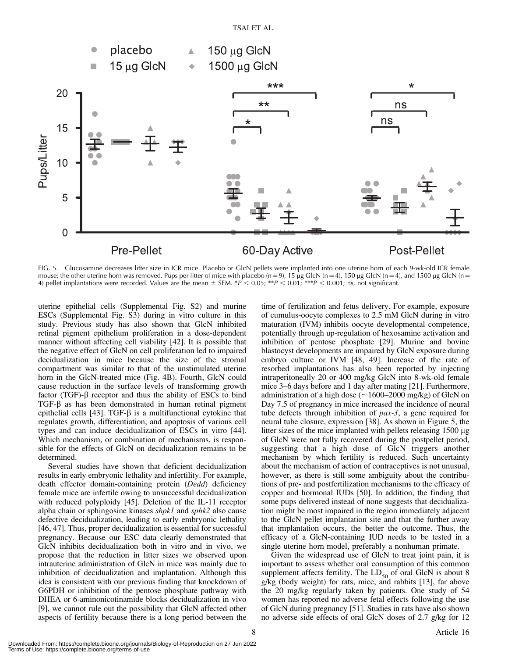

FIG. 5. Glucosamine decreases litter size in ICR mice. Placebo or GlcN pellets were implanted into one uterine horn of each 9-wk-old ICR female mouse; the other uterine horn was removed. Pups per litter of mice with placebo (n = 9), 15 µg GlcN (n = 4), 150 µg GlcN (n = 4), and 1500 µg GlcN (n = 4) pellet implantations were recorded. Values are the mean  $\pm$  SEM. \* $P < 0.05$ ; \*\* $P < 0.01$ ; \*\*\*P < 0.001; ns, not significant.

uterine epithelial cells (Supplemental Fig. S2) and murine ESCs (Supplemental Fig. S3) during in vitro culture in this study. Previous study has also shown that GlcN inhibited retinal pigment epithelium proliferation in a dose-dependent manner without affecting cell viability [42]. It is possible that the negative effect of GlcN on cell proliferation led to impaired decidualization in mice because the size of the stromal compartment was similar to that of the unstimulated uterine horn in the GlcN-treated mice (Fig. 4B). Fourth, GlcN could cause reduction in the surface levels of transforming growth factor (TGF)- $\beta$  receptor and thus the ability of ESCs to bind  $TGF-\beta$  as has been demonstrated in human retinal pigment epithelial cells [43]. TGF- $\beta$  is a multifunctional cytokine that regulates growth, differentiation, and apoptosis of various cell types and can induce decidualization of ESCs in vitro [44]. Which mechanism, or combination of mechanisms, is responsible for the effects of GlcN on decidualization remains to be determined.

Several studies have shown that deficient decidualization results in early embryonic lethality and infertility. For example, death effector domain-containing protein (Dedd) deficiency female mice are infertile owing to unsuccessful decidualization with reduced polyploidy [45]. Deletion of the IL-11 receptor alpha chain or sphingosine kinases shpk1 and sphk2 also cause defective decidualization, leading to early embryonic lethality [46, 47]. Thus, proper decidualization is essential for successful pregnancy. Because our ESC data clearly demonstrated that GlcN inhibits decidualization both in vitro and in vivo, we propose that the reduction in litter sizes we observed upon intrauterine administration of GlcN in mice was mainly due to inhibition of decidualization and implantation. Although this idea is consistent with our previous finding that knockdown of G6PDH or inhibition of the pentose phosphate pathway with DHEA or 6-aminonicotinamide blocks decidualization in vivo [9], we cannot rule out the possibility that GlcN affected other aspects of fertility because there is a long period between the time of fertilization and fetus delivery. For example, exposure of cumulus-oocyte complexes to 2.5 mM GlcN during in vitro maturation (IVM) inhibits oocyte developmental competence, potentially through up-regulation of hexosamine activation and inhibition of pentose phosphate [29]. Murine and bovine blastocyst developments are impaired by GlcN exposure during embryo culture or IVM [48, 49]. Increase of the rate of resorbed implantations has also been reported by injecting intraperitoneally 20 or 400 mg/kg GlcN into 8-wk-old female mice 3–6 days before and 1 day after mating [21]. Furthermore, administration of a high dose ( $\sim$ 1600–2000 mg/kg) of GlcN on Day 7.5 of pregnancy in mice increased the incidence of neural tube defects through inhibition of  $pax-3$ , a gene required for neural tube closure, expression [38]. As shown in Figure 5, the litter sizes of the mice implanted with pellets releasing  $1500 \mu g$ of GlcN were not fully recovered during the postpellet period, suggesting that a high dose of GlcN triggers another mechanism by which fertility is reduced. Such uncertainty about the mechanism of action of contraceptives is not unusual, however, as there is still some ambiguity about the contributions of pre- and postfertilization mechanisms to the efficacy of copper and hormonal IUDs [50]. In addition, the finding that some pups delivered instead of none suggests that decidualization might be most impaired in the region immediately adjacent to the GlcN pellet implantation site and that the further away that implantation occurs, the better the outcome. Thus, the efficacy of a GlcN-containing IUD needs to be tested in a single uterine horn model, preferably a nonhuman primate.

Given the widespread use of GlcN to treat joint pain, it is important to assess whether oral consumption of this common supplement affects fertility. The  $LD_{50}$  of oral GlcN is about 8 g/kg (body weight) for rats, mice, and rabbits [13], far above the 20 mg/kg regularly taken by patients. One study of 54 women has reported no adverse fetal effects following the use of GlcN during pregnancy [51]. Studies in rats have also shown no adverse side effects of oral GlcN doses of 2.7 g/kg for 12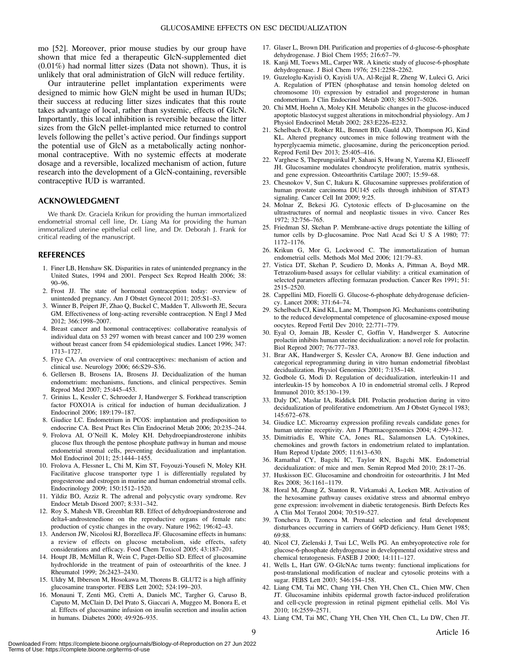mo [52]. Moreover, prior mouse studies by our group have shown that mice fed a therapeutic GlcN-supplemented diet (0.01%) had normal litter sizes (Data not shown). Thus, it is unlikely that oral administration of GlcN will reduce fertility.

Our intrauterine pellet implantation experiments were designed to mimic how GlcN might be used in human IUDs; their success at reducing litter sizes indicates that this route takes advantage of local, rather than systemic, effects of GlcN. Importantly, this local inhibition is reversible because the litter sizes from the GlcN pellet-implanted mice returned to control levels following the pellet's active period. Our findings support the potential use of GlcN as a metabolically acting nonhormonal contraceptive. With no systemic effects at moderate dosage and a reversible, localized mechanism of action, future research into the development of a GlcN-containing, reversible contraceptive IUD is warranted.

## ACKNOWLEDGMENT

We thank Dr. Graciela Krikun for providing the human immortalized endometrial stromal cell line, Dr. Liang Ma for providing the human immortalized uterine epithelial cell line, and Dr. Deborah J. Frank for critical reading of the manuscript.

#### REFERENCES

- 1. Finer LB, Henshaw SK. Disparities in rates of unintended pregnancy in the United States, 1994 and 2001. Perspect Sex Reprod Health 2006; 38: 90–96.
- 2. Frost JJ. The state of hormonal contraception today: overview of unintended pregnancy. Am J Obstet Gynecol 2011; 205:S1–S3.
- 3. Winner B, Peipert JF, Zhao Q, Buckel C, Madden T, Allsworth JE, Secura GM. Effectiveness of long-acting reversible contraception. N Engl J Med 2012; 366:1998–2007.
- 4. Breast cancer and hormonal contraceptives: collaborative reanalysis of individual data on 53 297 women with breast cancer and 100 239 women without breast cancer from 54 epidemiological studies. Lancet 1996; 347: 1713–1727.
- 5. Frye CA. An overview of oral contraceptives: mechanism of action and clinical use. Neurology 2006; 66:S29–S36.
- 6. Gellersen B, Brosens IA, Brosens JJ. Decidualization of the human endometrium: mechanisms, functions, and clinical perspectives. Semin Reprod Med 2007; 25:445–453.
- 7. Grinius L, Kessler C, Schroeder J, Handwerger S. Forkhead transcription factor FOXO1A is critical for induction of human decidualization. J Endocrinol 2006; 189:179–187.
- 8. Giudice LC. Endometrium in PCOS: implantation and predisposition to endocrine CA. Best Pract Res Clin Endocrinol Metab 2006; 20:235–244.
- 9. Frolova AI, O'Neill K, Moley KH. Dehydroepiandrosterone inhibits glucose flux through the pentose phosphate pathway in human and mouse endometrial stromal cells, preventing decidualization and implantation. Mol Endocrinol 2011; 25:1444–1455.
- 10. Frolova A, Flessner L, Chi M, Kim ST, Foyouzi-Yousefi N, Moley KH. Facilitative glucose transporter type 1 is differentially regulated by progesterone and estrogen in murine and human endometrial stromal cells. Endocrinology 2009; 150:1512–1520.
- 11. Yildiz BO, Azziz R. The adrenal and polycystic ovary syndrome. Rev Endocr Metab Disord 2007; 8:331–342.
- 12. Roy S, Mahesh VB, Greenblatt RB. Effect of dehydroepiandrosterone and delta4-androstenedione on the reproductive organs of female rats: production of cystic changes in the ovary. Nature 1962; 196:42–43.
- 13. Anderson JW, Nicolosi RJ, Borzelleca JF. Glucosamine effects in humans: a review of effects on glucose metabolism, side effects, safety considerations and efficacy. Food Chem Toxicol 2005; 43:187–201.
- 14. Houpt JB, McMillan R, Wein C, Paget-Dellio SD. Effect of glucosamine hydrochloride in the treatment of pain of osteoarthritis of the knee. J Rheumatol 1999; 26:2423–2430.
- 15. Uldry M, Ibberson M, Hosokawa M, Thorens B. GLUT2 is a high affinity glucosamine transporter. FEBS Lett 2002; 524:199–203.
- 16. Monauni T, Zenti MG, Cretti A, Daniels MC, Targher G, Caruso B, Caputo M, McClain D, Del Prato S, Giaccari A, Muggeo M, Bonora E, et al. Effects of glucosamine infusion on insulin secretion and insulin action in humans. Diabetes 2000; 49:926–935.
- 17. Glaser L, Brown DH. Purification and properties of d-glucose-6-phosphate dehydrogenase. J Biol Chem 1955; 216:67–79.
- 18. Kanji MI, Toews ML, Carper WR. A kinetic study of glucose-6-phosphate dehydrogenase. J Biol Chem 1976; 251:2258–2262.
- 19. Guzeloglu-Kayisli O, Kayisli UA, Al-Rejjal R, Zheng W, Luleci G, Arici A. Regulation of PTEN (phosphatase and tensin homolog deleted on chromosome 10) expression by estradiol and progesterone in human endometrium. J Clin Endocrinol Metab 2003; 88:5017–5026.
- 20. Chi MM, Hoehn A, Moley KH. Metabolic changes in the glucose-induced apoptotic blastocyst suggest alterations in mitochondrial physiology. Am J Physiol Endocrinol Metab 2002; 283:E226–E232.
- 21. Schelbach CJ, Robker RL, Bennett BD, Gauld AD, Thompson JG, Kind KL. Altered pregnancy outcomes in mice following treatment with the hyperglycaemia mimetic, glucosamine, during the periconception period. Reprod Fertil Dev 2013; 25:405–416.
- 22. Varghese S, Theprungsirikul P, Sahani S, Hwang N, Yarema KJ, Elisseeff JH. Glucosamine modulates chondrocyte proliferation, matrix synthesis, and gene expression. Osteoarthritis Cartilage 2007; 15:59–68.
- 23. Chesnokov  $V$ , Sun C, Itakura K. Glucosamine suppresses proliferation of human prostate carcinoma DU145 cells through inhibition of STAT3 signaling. Cancer Cell Int 2009; 9:25.
- 24. Molnar Z, Bekesi JG. Cytotoxic effects of D-glucosamine on the ultrastructures of normal and neoplastic tissues in vivo. Cancer Res 1972; 32:756–765.
- 25. Friedman SJ, Skehan P. Membrane-active drugs potentiate the killing of tumor cells by D-glucosamine. Proc Natl Acad Sci U S A 1980; 77: 1172–1176.
- 26. Krikun G, Mor G, Lockwood C. The immortalization of human endometrial cells. Methods Mol Med 2006; 121:79–83.
- 27. Vistica DT, Skehan P, Scudiero D, Monks A, Pittman A, Boyd MR. Tetrazolium-based assays for cellular viability: a critical examination of selected parameters affecting formazan production. Cancer Res 1991; 51: 2515–2520.
- 28. Cappellini MD, Fiorelli G. Glucose-6-phosphate dehydrogenase deficiency. Lancet 2008; 371:64–74.
- 29. Schelbach CJ, Kind KL, Lane M, Thompson JG. Mechanisms contributing to the reduced developmental competence of glucosamine-exposed mouse oocytes. Reprod Fertil Dev 2010; 22:771–779.
- 30. Eyal O, Jomain JB, Kessler C, Goffin V, Handwerger S. Autocrine prolactin inhibits human uterine decidualization: a novel role for prolactin. Biol Reprod 2007; 76:777–783.
- 31. Brar AK, Handwerger S, Kessler CA, Aronow BJ. Gene induction and categorical reprogramming during in vitro human endometrial fibroblast decidualization. Physiol Genomics 2001; 7:135–148.
- 32. Godbole G, Modi D. Regulation of decidualization, interleukin-11 and interleukin-15 by homeobox A 10 in endometrial stromal cells. J Reprod Immunol 2010; 85:130–139.
- 33. Daly DC, Maslar IA, Riddick DH. Prolactin production during in vitro decidualization of proliferative endometrium. Am J Obstet Gynecol 1983; 145:672–678.
- 34. Giudice LC. Microarray expression profiling reveals candidate genes for human uterine receptivity. Am J Pharmacogenomics 2004; 4:299–312.
- 35. Dimitriadis E, White CA, Jones RL, Salamonsen LA. Cytokines, chemokines and growth factors in endometrium related to implantation. Hum Reprod Update 2005; 11:613–630.
- 36. Ramathal CY, Bagchi IC, Taylor RN, Bagchi MK. Endometrial decidualization: of mice and men. Semin Reprod Med 2010; 28:17–26.
- 37. Huskisson EC. Glucosamine and chondroitin for osteoarthritis. J Int Med Res 2008; 36:1161–1179.
- 38. Horal M, Zhang Z, Stanton R, Virkamaki A, Loeken MR. Activation of the hexosamine pathway causes oxidative stress and abnormal embryo gene expression: involvement in diabetic teratogenesis. Birth Defects Res A Clin Mol Teratol 2004; 70:519–527.
- 39. Toncheva D, Tzoneva M. Prenatal selection and fetal development disturbances occurring in carriers of G6PD deficiency. Hum Genet 1985; 69:88.
- 40. Nicol CJ, Zielenski J, Tsui LC, Wells PG. An embryoprotective role for glucose-6-phosphate dehydrogenase in developmental oxidative stress and chemical teratogenesis. FASEB J 2000; 14:111–127.
- 41. Wells L, Hart GW. O-GlcNAc turns twenty: functional implications for post-translational modification of nuclear and cytosolic proteins with a sugar. FEBS Lett 2003; 546:154–158.
- 42. Liang CM, Tai MC, Chang YH, Chen YH, Chen CL, Chien MW, Chen JT. Glucosamine inhibits epidermal growth factor-induced proliferation and cell-cycle progression in retinal pigment epithelial cells. Mol Vis 2010; 16:2559–2571.
- 43. Liang CM, Tai MC, Chang YH, Chen YH, Chen CL, Lu DW, Chen JT.